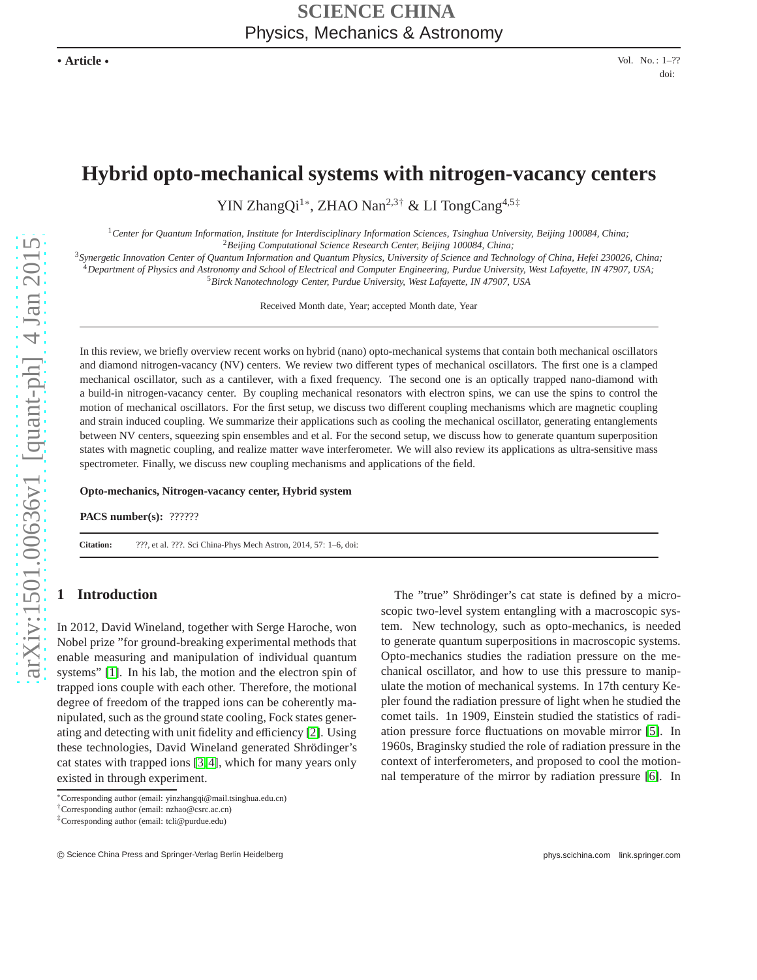# **Hybrid opto-mechanical systems with nitrogen-vacancy centers**

YIN ZhangQi<sup>1∗</sup>, ZHAO Nan<sup>2,3†</sup> & LI TongCang<sup>4,5‡</sup>

<sup>1</sup>*Center for Quantum Information, Institute for Interdisciplinary Information Sciences, Tsinghua University, Beijing 100084, China;* <sup>2</sup>*Beijing Computational Science Research Center, Beijing 100084, China;*

<sup>3</sup>*Synergetic Innovation Center of Quantum Information and Quantum Physics, University of Science and Technology of China, Hefei 230026, China;* <sup>4</sup>*Department of Physics and Astronomy and School of Electrical and Computer Engineering, Purdue University, West Lafayette, IN 47907, USA;* <sup>5</sup>*Birck Nanotechnology Center, Purdue University, West Lafayette, IN 47907, USA*

Received Month date, Year; accepted Month date, Year

In this review, we briefly overview recent works on hybrid (nano) opto-mechanical systems that contain both mechanical oscillators and diamond nitrogen-vacancy (NV) centers. We review two different types of mechanical oscillators. The first one is a clamped mechanical oscillator, such as a cantilever, with a fixed frequency. The second one is an optically trapped nano-diamond with a build-in nitrogen-vacancy center. By coupling mechanical resonators with electron spins, we can use the spins to control the motion of mechanical oscillators. For the first setup, we discuss two different coupling mechanisms which are magnetic coupling and strain induced coupling. We summarize their applications such as cooling the mechanical oscillator, generating entanglements between NV centers, squeezing spin ensembles and et al. For the second setup, we discuss how to generate quantum superposition states with magnetic coupling, and realize matter wave interferometer. We will also review its applications as ultra-sensitive mass spectrometer. Finally, we discuss new coupling mechanisms and applications of the field.

**Opto-mechanics, Nitrogen-vacancy center, Hybrid system**

**PACS number(s):** ??????

**Citation:** ???, et al. ???. Sci China-Phys Mech Astron, 2014, 57: 1–6, doi:

# **1 Introduction**

In 2012, David Wineland, together with Serge Haroche, won Nobel prize "for ground-breaking experimental methods that enable measuring and manipulation of individual quantum systems" [\[1\]](#page-10-0). In his lab, the motion and the electron spin of trapped ions couple with each other. Therefore, the motional degree of freedom of the trapped ions can be coherently manipulated, such as the ground state cooling, Fock states generating and detecting with unit fidelity and efficiency [\[2\]](#page-10-1). Using these technologies, David Wineland generated Shrödinger's cat states with trapped ions [\[3,](#page-10-2) [4\]](#page-10-3), which for many years only existed in through experiment.

The "true" Shrödinger's cat state is defined by a microscopic two-level system entangling with a macroscopic system. New technology, such as opto-mechanics, is needed to generate quantum superpositions in macroscopic systems. Opto-mechanics studies the radiation pressure on the mechanical oscillator, and how to use this pressure to manipulate the motion of mechanical systems. In 17th century Kepler found the radiation pressure of light when he studied the comet tails. 1n 1909, Einstein studied the statistics of radiation pressure force fluctuations on movable mirror [\[5\]](#page-10-4). In 1960s, Braginsky studied the role of radiation pressure in the context of interferometers, and proposed to cool the motionnal temperature of the mirror by radiation pressure [\[6\]](#page-10-5). In

<sup>∗</sup>Corresponding author (email: yinzhangqi@mail.tsinghua.edu.cn)

<sup>†</sup>Corresponding author (email: nzhao@csrc.ac.cn)

<sup>‡</sup>Corresponding author (email: tcli@purdue.edu)

<sup>c</sup> Science China Press and Springer-Verlag Berlin Heidelberg phys.scichina.com link.springer.com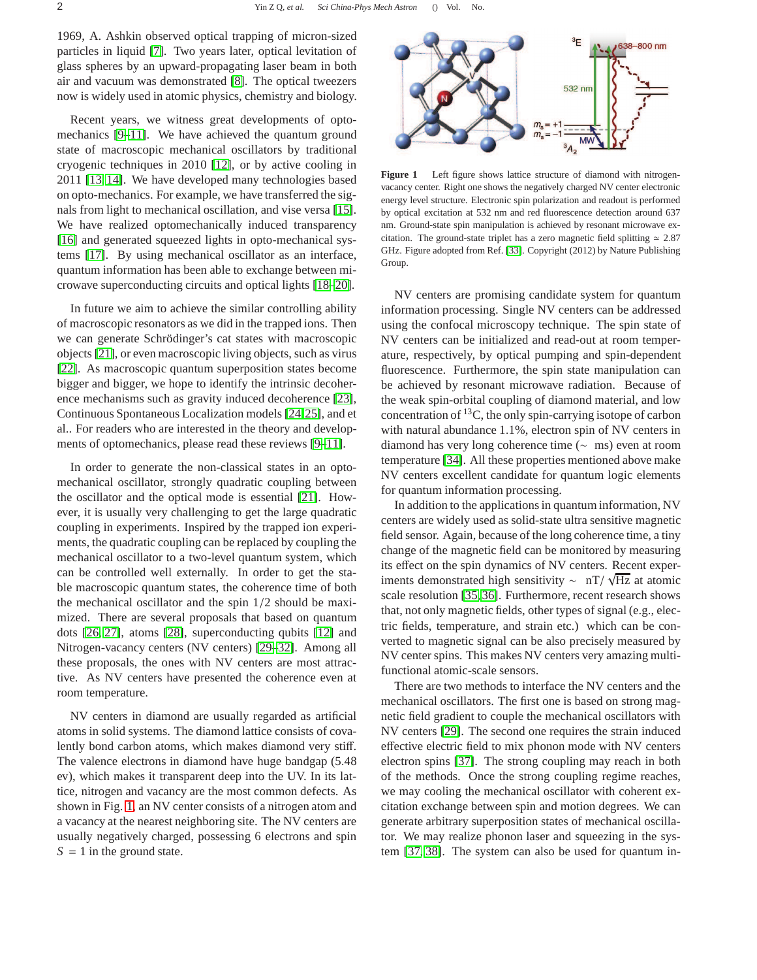1969, A. Ashkin observed optical trapping of micron-sized particles in liquid [\[7\]](#page-10-6). Two years later, optical levitation of glass spheres by an upward-propagating laser beam in both air and vacuum was demonstrated [\[8\]](#page-10-7). The optical tweezers now is widely used in atomic physics, chemistry and biology.

Recent years, we witness great developments of optomechanics [\[9](#page-11-0)[–11\]](#page-11-1). We have achieved the quantum ground state of macroscopic mechanical oscillators by traditional cryogenic techniques in 2010 [\[12\]](#page-11-2), or by active cooling in 2011 [\[13,](#page-11-3) [14\]](#page-11-4). We have developed many technologies based on opto-mechanics. For example, we have transferred the signals from light to mechanical oscillation, and vise versa [\[15\]](#page-11-5). We have realized optomechanically induced transparency [\[16\]](#page-11-6) and generated squeezed lights in opto-mechanical systems [\[17\]](#page-11-7). By using mechanical oscillator as an interface, quantum information has been able to exchange between microwave superconducting circuits and optical lights [\[18](#page-11-8)[–20\]](#page-11-9).

In future we aim to achieve the similar controlling ability of macroscopic resonators as we did in the trapped ions. Then we can generate Schrödinger's cat states with macroscopic objects [\[21\]](#page-11-10), or even macroscopic living objects, such as virus [\[22\]](#page-11-11). As macroscopic quantum superposition states become bigger and bigger, we hope to identify the intrinsic decoherence mechanisms such as gravity induced decoherence [\[23\]](#page-11-12), Continuous Spontaneous Localization models [\[24,](#page-11-13)[25\]](#page-11-14), and et al.. For readers who are interested in the theory and developments of optomechanics, please read these reviews [\[9](#page-11-0)[–11\]](#page-11-1).

In order to generate the non-classical states in an optomechanical oscillator, strongly quadratic coupling between the oscillator and the optical mode is essential [\[21\]](#page-11-10). However, it is usually very challenging to get the large quadratic coupling in experiments. Inspired by the trapped ion experiments, the quadratic coupling can be replaced by coupling the mechanical oscillator to a two-level quantum system, which can be controlled well externally. In order to get the stable macroscopic quantum states, the coherence time of both the mechanical oscillator and the spin 1/2 should be maximized. There are several proposals that based on quantum dots [\[26,](#page-11-15) [27\]](#page-11-16), atoms [\[28\]](#page-11-17), superconducting qubits [\[12\]](#page-11-2) and Nitrogen-vacancy centers (NV centers) [\[29](#page-11-18)[–32\]](#page-11-19). Among all these proposals, the ones with NV centers are most attractive. As NV centers have presented the coherence even at room temperature.

NV centers in diamond are usually regarded as artificial atoms in solid systems. The diamond lattice consists of covalently bond carbon atoms, which makes diamond very stiff. The valence electrons in diamond have huge bandgap (5.48 ev), which makes it transparent deep into the UV. In its lattice, nitrogen and vacancy are the most common defects. As shown in Fig. [1,](#page-1-0) an NV center consists of a nitrogen atom and a vacancy at the nearest neighboring site. The NV centers are usually negatively charged, possessing 6 electrons and spin  $S = 1$  in the ground state.



<span id="page-1-0"></span>Figure 1 Left figure shows lattice structure of diamond with nitrogenvacancy center. Right one shows the negatively charged NV center electronic energy level structure. Electronic spin polarization and readout is performed by optical excitation at 532 nm and red fluorescence detection around 637 nm. Ground-state spin manipulation is achieved by resonant microwave excitation. The ground-state triplet has a zero magnetic field splitting  $\simeq 2.87$ GHz. Figure adopted from Ref. [\[33\]](#page-11-20). Copyright (2012) by Nature Publishing Group.

NV centers are promising candidate system for quantum information processing. Single NV centers can be addressed using the confocal microscopy technique. The spin state of NV centers can be initialized and read-out at room temperature, respectively, by optical pumping and spin-dependent fluorescence. Furthermore, the spin state manipulation can be achieved by resonant microwave radiation. Because of the weak spin-orbital coupling of diamond material, and low concentration of  $^{13}$ C, the only spin-carrying isotope of carbon with natural abundance 1.1%, electron spin of NV centers in diamond has very long coherence time (∼ ms) even at room temperature [\[34\]](#page-11-21). All these properties mentioned above make NV centers excellent candidate for quantum logic elements for quantum information processing.

In addition to the applications in quantum information, NV centers are widely used as solid-state ultra sensitive magnetic field sensor. Again, because of the long coherence time, a tiny change of the magnetic field can be monitored by measuring its effect on the spin dynamics of NV centers. Recent experiments demonstrated high sensitivity  $\sim \frac{nT}{\sqrt{Hz}}$  at atomic scale resolution [\[35,](#page-11-22)[36\]](#page-11-23). Furthermore, recent research shows that, not only magnetic fields, other types of signal (e.g., electric fields, temperature, and strain etc.) which can be converted to magnetic signal can be also precisely measured by NV center spins. This makes NV centers very amazing multifunctional atomic-scale sensors.

There are two methods to interface the NV centers and the mechanical oscillators. The first one is based on strong magnetic field gradient to couple the mechanical oscillators with NV centers [\[29\]](#page-11-18). The second one requires the strain induced effective electric field to mix phonon mode with NV centers electron spins [\[37\]](#page-11-24). The strong coupling may reach in both of the methods. Once the strong coupling regime reaches, we may cooling the mechanical oscillator with coherent excitation exchange between spin and motion degrees. We can generate arbitrary superposition states of mechanical oscillator. We may realize phonon laser and squeezing in the system [\[37,](#page-11-24) [38\]](#page-11-25). The system can also be used for quantum in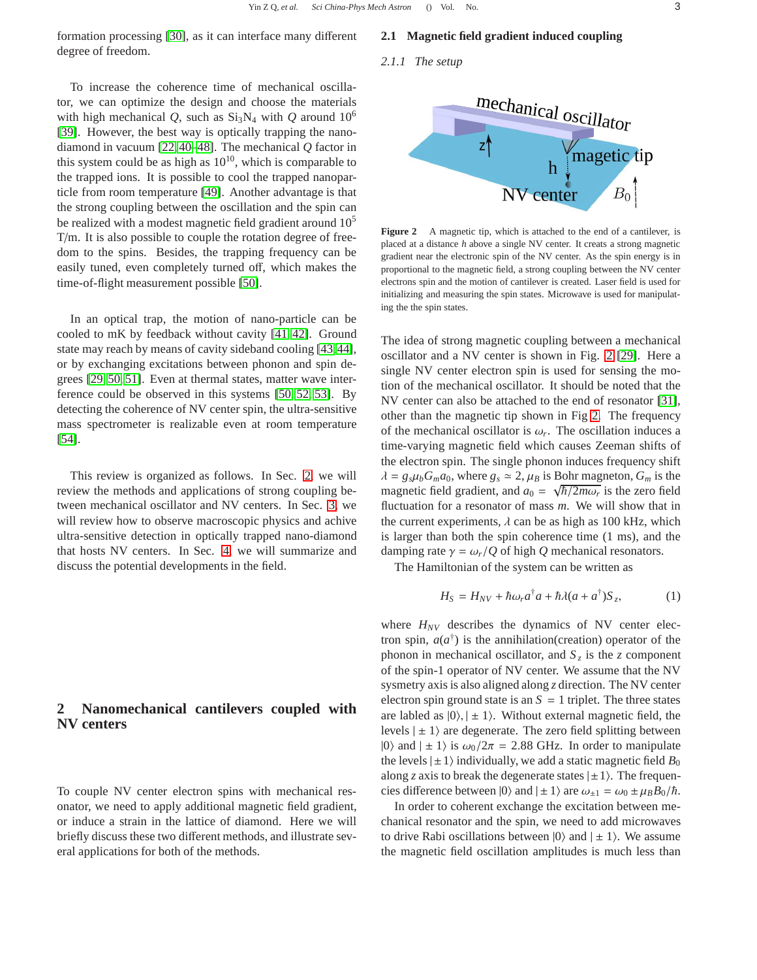formation processing [\[30\]](#page-11-26), as it can interface many different degree of freedom.

# To increase the coherence time of mechanical oscillator, we can optimize the design and choose the materials with high mechanical *Q*, such as  $Si_3N_4$  with *Q* around  $10^6$ [\[39\]](#page-11-27). However, the best way is optically trapping the nanodiamond in vacuum [\[22,](#page-11-11) [40–](#page-11-28)[48\]](#page-11-29). The mechanical *Q* factor in this system could be as high as  $10^{10}$ , which is comparable to the trapped ions. It is possible to cool the trapped nanoparticle from room temperature [\[49\]](#page-11-30). Another advantage is that the strong coupling between the oscillation and the spin can be realized with a modest magnetic field gradient around  $10<sup>5</sup>$ T/m. It is also possible to couple the rotation degree of freedom to the spins. Besides, the trapping frequency can be easily tuned, even completely turned off, which makes the time-of-flight measurement possible [\[50\]](#page-11-31).

In an optical trap, the motion of nano-particle can be cooled to mK by feedback without cavity [\[41,](#page-11-32) [42\]](#page-11-33). Ground state may reach by means of cavity sideband cooling [\[43,](#page-11-34)[44\]](#page-11-35), or by exchanging excitations between phonon and spin degrees [\[29,](#page-11-18) [50,](#page-11-31) [51\]](#page-11-36). Even at thermal states, matter wave interference could be observed in this systems [\[50,](#page-11-31) [52,](#page-11-37) [53\]](#page-11-38). By detecting the coherence of NV center spin, the ultra-sensitive mass spectrometer is realizable even at room temperature [\[54\]](#page-11-39).

This review is organized as follows. In Sec. [2,](#page-2-0) we will review the methods and applications of strong coupling between mechanical oscillator and NV centers. In Sec. [3,](#page-6-0) we will review how to observe macroscopic physics and achive ultra-sensitive detection in optically trapped nano-diamond that hosts NV centers. In Sec. [4,](#page-10-8) we will summarize and discuss the potential developments in the field.

# <span id="page-2-0"></span>**2 Nanomechanical cantilevers coupled with NV centers**

To couple NV center electron spins with mechanical resonator, we need to apply additional magnetic field gradient, or induce a strain in the lattice of diamond. Here we will briefly discuss these two different methods, and illustrate several applications for both of the methods.

### <span id="page-2-2"></span>**2.1 Magnetic field gradient induced coupling**

*2.1.1 The setup*



<span id="page-2-1"></span>Figure 2 A magnetic tip, which is attached to the end of a cantilever, is placed at a distance *h* above a single NV center. It creats a strong magnetic gradient near the electronic spin of the NV center. As the spin energy is in proportional to the magnetic field, a strong coupling between the NV center electrons spin and the motion of cantilever is created. Laser field is used for initializing and measuring the spin states. Microwave is used for manipulating the the spin states.

The idea of strong magnetic coupling between a mechanical oscillator and a NV center is shown in Fig. [2](#page-2-1) [\[29\]](#page-11-18). Here a single NV center electron spin is used for sensing the motion of the mechanical oscillator. It should be noted that the NV center can also be attached to the end of resonator [\[31\]](#page-11-40), other than the magnetic tip shown in Fig [2.](#page-2-1) The frequency of the mechanical oscillator is  $\omega_r$ . The oscillation induces a time-varying magnetic field which causes Zeeman shifts of the electron spin. The single phonon induces frequency shift  $\lambda = g_s \mu_b G_m a_0$ , where  $g_s \simeq 2$ ,  $\mu_B$  is Bohr magneton,  $G_m$  is the magnetic field gradient, and  $a_0 = \sqrt{\hbar/2m\omega_r}$  is the zero field fluctuation for a resonator of mass *m*. We will show that in the current experiments,  $\lambda$  can be as high as 100 kHz, which is larger than both the spin coherence time (1 ms), and the damping rate  $\gamma = \omega_r/Q$  of high *Q* mechanical resonators.

The Hamiltonian of the system can be written as

$$
H_S = H_{NV} + \hbar \omega_r a^{\dagger} a + \hbar \lambda (a + a^{\dagger}) S_z, \qquad (1)
$$

where  $H_{NV}$  describes the dynamics of NV center electron spin,  $a(a^{\dagger})$  is the annihilation(creation) operator of the phonon in mechanical oscillator, and  $S_z$  is the *z* component of the spin-1 operator of NV center. We assume that the NV sysmetry axis is also aligned along *z* direction. The NV center electron spin ground state is an  $S = 1$  triplet. The three states are labled as  $|0\rangle$ ,  $| \pm 1\rangle$ . Without external magnetic field, the levels  $|\pm 1\rangle$  are degenerate. The zero field splitting between |0) and  $|\pm 1\rangle$  is  $\omega_0/2\pi = 2.88$  GHz. In order to manipulate the levels  $|\pm 1\rangle$  individually, we add a static magnetic field  $B_0$ along *z* axis to break the degenerate states  $|\pm 1\rangle$ . The frequencies difference between  $|0\rangle$  and  $| \pm 1\rangle$  are  $\omega_{\pm 1} = \omega_0 \pm \mu_B B_0/\hbar$ .

In order to coherent exchange the excitation between mechanical resonator and the spin, we need to add microwaves to drive Rabi oscillations between  $|0\rangle$  and  $| \pm 1\rangle$ . We assume the magnetic field oscillation amplitudes is much less than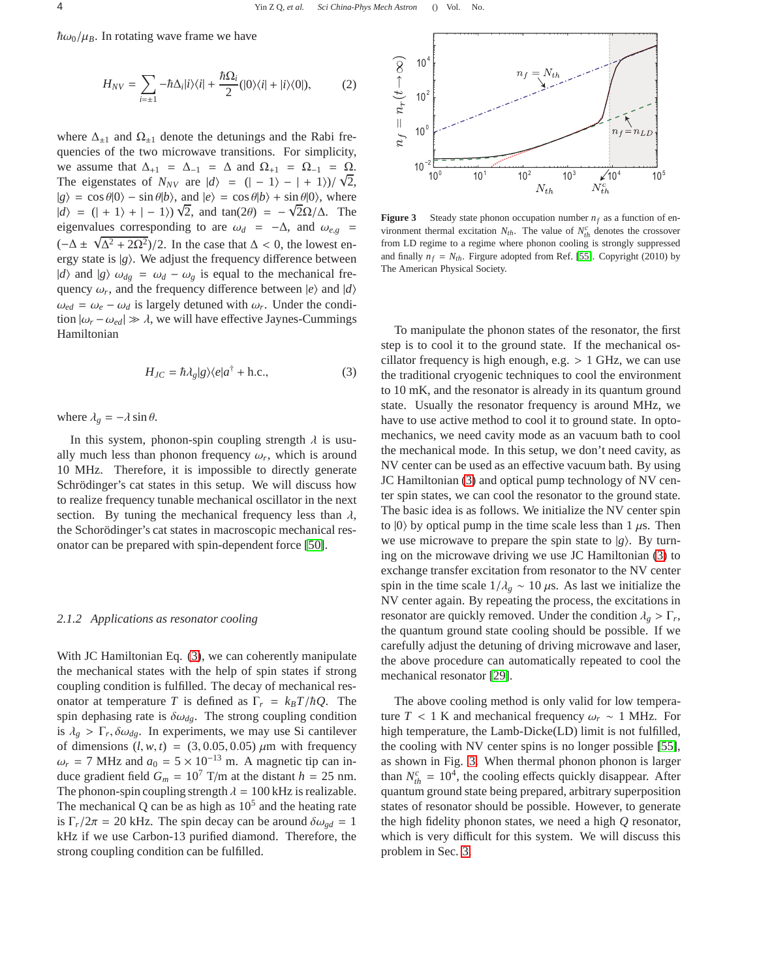$\hbar\omega_0/\mu_B$ . In rotating wave frame we have

$$
H_{NV} = \sum_{i=\pm 1} -\hbar \Delta_i |i\rangle\langle i| + \frac{\hbar \Omega_i}{2} (|0\rangle\langle i| + |i\rangle\langle 0|), \tag{2}
$$

where  $\Delta_{\pm 1}$  and  $\Omega_{\pm 1}$  denote the detunings and the Rabi frequencies of the two microwave transitions. For simplicity, we assume that  $\Delta_{+1} = \Delta_{-1} = \Delta$  and  $\Omega_{+1} = \Omega_{-1} = \Omega$ . The eigenstates of  $N_{NV}$  are  $|d\rangle = (|-1\rangle - | + 1\rangle)/\sqrt{2}$ ,  $|g\rangle = \cos \theta |0\rangle - \sin \theta |b\rangle$ , and  $|e\rangle = \cos \theta |b\rangle + \sin \theta |0\rangle$ , where  $|d\rangle = (| + 1\rangle + | - 1\rangle)\sqrt{2}$ , and tan(2θ) =  $-\sqrt{2}\Omega/\Delta$ . The eigenvalues corresponding to are  $\omega_d = -\Delta$ , and  $\omega_{e,g}$  $(-\Delta \pm \sqrt{\Delta^2 + 2\Omega^2})/2$ . In the case that  $\Delta < 0$ , the lowest energy state is  $|g\rangle$ . We adjust the frequency difference between |*d*) and  $|g\rangle$   $\omega_{dg} = \omega_d - \omega_g$  is equal to the mechanical frequency  $\omega_r$ , and the frequency difference between  $|e\rangle$  and  $|d\rangle$  $\omega_{ed} = \omega_e - \omega_d$  is largely detuned with  $\omega_r$ . Under the condition  $|\omega_r - \omega_{ed}| \gg \lambda$ , we will have effective Jaynes-Cummings Hamiltonian

<span id="page-3-0"></span>
$$
H_{JC} = \hbar \lambda_g |g\rangle \langle e|a^\dagger + \text{h.c.},\tag{3}
$$

where  $\lambda_g = -\lambda \sin \theta$ .

In this system, phonon-spin coupling strength  $\lambda$  is usually much less than phonon frequency  $\omega_r$ , which is around 10 MHz. Therefore, it is impossible to directly generate Schrödinger's cat states in this setup. We will discuss how to realize frequency tunable mechanical oscillator in the next section. By tuning the mechanical frequency less than  $\lambda$ , the Schorödinger's cat states in macroscopic mechanical resonator can be prepared with spin-dependent force [\[50\]](#page-11-31).

#### <span id="page-3-2"></span>*2.1.2 Applications as resonator cooling*

With JC Hamiltonian Eq. [\(3\)](#page-3-0), we can coherently manipulate the mechanical states with the help of spin states if strong coupling condition is fulfilled. The decay of mechanical resonator at temperature *T* is defined as  $\Gamma_r = k_B T / \hbar Q$ . The spin dephasing rate is  $\delta \omega_{dg}$ . The strong coupling condition is  $\lambda_g > \Gamma_r$ ,  $\delta \omega_{dg}$ . In experiments, we may use Si cantilever of dimensions  $(l, w, t) = (3, 0.05, 0.05) \mu m$  with frequency  $\omega_r$  = 7 MHz and  $a_0 = 5 \times 10^{-13}$  m. A magnetic tip can induce gradient field  $G_m = 10^7$  T/m at the distant  $h = 25$  nm. The phonon-spin coupling strength  $\lambda = 100$  kHz is realizable. The mechanical Q can be as high as  $10<sup>5</sup>$  and the heating rate is  $\Gamma_r/2\pi = 20$  kHz. The spin decay can be around  $\delta \omega_{gd} = 1$ kHz if we use Carbon-13 purified diamond. Therefore, the strong coupling condition can be fulfilled.



<span id="page-3-1"></span>**Figure 3** Steady state phonon occupation number  $n_f$  as a function of environment thermal excitation  $N_{th}$ . The value of  $N_{th}^c$  denotes the crossover from LD regime to a regime where phonon cooling is strongly suppressed and finally  $n_f = N_{th}$ . Firgure adopted from Ref. [\[55\]](#page-11-41). Copyright (2010) by The American Physical Society.

To manipulate the phonon states of the resonator, the first step is to cool it to the ground state. If the mechanical oscillator frequency is high enough, e.g.  $> 1$  GHz, we can use the traditional cryogenic techniques to cool the environment to 10 mK, and the resonator is already in its quantum ground state. Usually the resonator frequency is around MHz, we have to use active method to cool it to ground state. In optomechanics, we need cavity mode as an vacuum bath to cool the mechanical mode. In this setup, we don't need cavity, as NV center can be used as an effective vacuum bath. By using JC Hamiltonian [\(3\)](#page-3-0) and optical pump technology of NV center spin states, we can cool the resonator to the ground state. The basic idea is as follows. We initialize the NV center spin to  $|0\rangle$  by optical pump in the time scale less than 1  $\mu$ s. Then we use microwave to prepare the spin state to  $|g\rangle$ . By turning on the microwave driving we use JC Hamiltonian [\(3\)](#page-3-0) to exchange transfer excitation from resonator to the NV center spin in the time scale  $1/\lambda_g \sim 10 \mu s$ . As last we initialize the NV center again. By repeating the process, the excitations in resonator are quickly removed. Under the condition  $\lambda_g > \Gamma_r$ , the quantum ground state cooling should be possible. If we carefully adjust the detuning of driving microwave and laser, the above procedure can automatically repeated to cool the mechanical resonator [\[29\]](#page-11-18).

The above cooling method is only valid for low temperature  $T < 1$  K and mechanical frequency  $\omega_r \sim 1$  MHz. For high temperature, the Lamb-Dicke(LD) limit is not fulfilled, the cooling with NV center spins is no longer possible [\[55\]](#page-11-41), as shown in Fig. [3.](#page-3-1) When thermal phonon phonon is larger than  $N_{th}^c = 10^4$ , the cooling effects quickly disappear. After quantum ground state being prepared, arbitrary superposition states of resonator should be possible. However, to generate the high fidelity phonon states, we need a high *Q* resonator, which is very difficult for this system. We will discuss this problem in Sec. [3.](#page-6-0)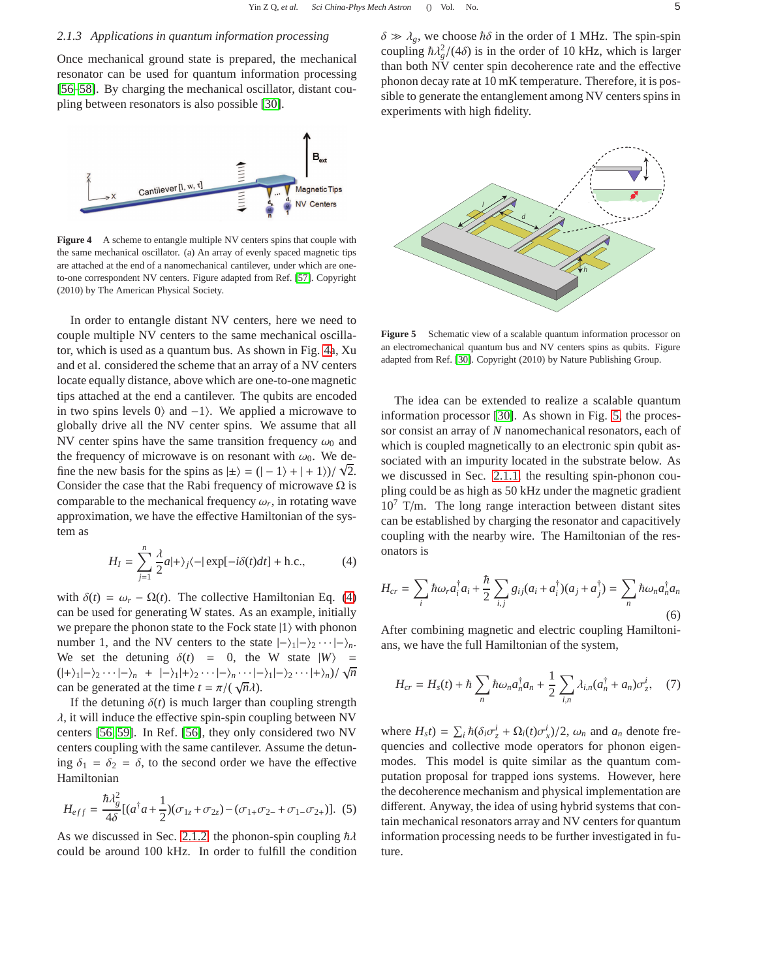#### <span id="page-4-3"></span>*2.1.3 Applications in quantum information processing*

Once mechanical ground state is prepared, the mechanical resonator can be used for quantum information processing [\[56](#page-11-42)[–58\]](#page-12-0). By charging the mechanical oscillator, distant coupling between resonators is also possible [\[30\]](#page-11-26).



<span id="page-4-0"></span>**Figure 4** A scheme to entangle multiple NV centers spins that couple with the same mechanical oscillator. (a) An array of evenly spaced magnetic tips are attached at the end of a nanomechanical cantilever, under which are oneto-one correspondent NV centers. Figure adapted from Ref. [\[57\]](#page-11-43). Copyright (2010) by The American Physical Society.

In order to entangle distant NV centers, here we need to couple multiple NV centers to the same mechanical oscillator, which is used as a quantum bus. As shown in Fig. [4a](#page-4-0), Xu and et al. considered the scheme that an array of a NV centers locate equally distance, above which are one-to-one magnetic tips attached at the end a cantilever. The qubits are encoded in two spins levels 0) and  $-1$ . We applied a microwave to globally drive all the NV center spins. We assume that all NV center spins have the same transition frequency  $\omega_0$  and the frequency of microwave is on resonant with  $\omega_0$ . We define the new basis for the spins as  $|\pm\rangle = (|-1\rangle + |+1\rangle)/\sqrt{2}$ . Consider the case that the Rabi frequency of microwave  $\Omega$  is comparable to the mechanical frequency  $\omega_r$ , in rotating wave approximation, we have the effective Hamiltonian of the system as

<span id="page-4-1"></span>
$$
H_I = \sum_{j=1}^{n} \frac{\lambda}{2} a |+\rangle_j \langle -|\exp[-i\delta(t)dt] + \text{h.c.},\tag{4}
$$

with  $\delta(t) = \omega_r - \Omega(t)$ . The collective Hamiltonian Eq. [\(4\)](#page-4-1) can be used for generating W states. As an example, initially we prepare the phonon state to the Fock state  $|1\rangle$  with phonon number 1, and the NV centers to the state  $|-\rangle_1|-\rangle_2\cdots|-\rangle_n$ . We set the detuning  $\delta(t) = 0$ , the W state  $|W\rangle =$  $(|+\rangle_1|-\rangle_2\cdots|-\rangle_n + |-\rangle_1|+\rangle_2\cdots|-\rangle_n\cdots|-\rangle_1|-\rangle_2\cdots|+\rangle_n)/\sqrt{n}$ can be generated at the time  $t = \pi/(\sqrt{n\lambda})$ .

If the detuning  $\delta(t)$  is much larger than coupling strength  $\lambda$ , it will induce the effective spin-spin coupling between NV centers [\[56,](#page-11-42) [59\]](#page-12-1). In Ref. [\[56\]](#page-11-42), they only considered two NV centers coupling with the same cantilever. Assume the detuning  $\delta_1 = \delta_2 = \delta$ , to the second order we have the effective Hamiltonian

$$
H_{eff} = \frac{\hbar \lambda_g^2}{4\delta} [(a^\dagger a + \frac{1}{2})(\sigma_{1z} + \sigma_{2z}) - (\sigma_{1+}\sigma_{2-} + \sigma_{1-}\sigma_{2+})].
$$
 (5)

As we discussed in Sec. [2.1.2,](#page-3-2) the phonon-spin coupling  $\hbar\lambda$ could be around 100 kHz. In order to fulfill the condition  $\delta \gg \lambda_g$ , we choose  $\hbar \delta$  in the order of 1 MHz. The spin-spin coupling  $\hbar \lambda_g^2/(4\delta)$  is in the order of 10 kHz, which is larger than both NV center spin decoherence rate and the effective phonon decay rate at 10 mK temperature. Therefore, it is possible to generate the entanglement among NV centers spins in experiments with high fidelity.



<span id="page-4-2"></span>**Figure 5** Schematic view of a scalable quantum information processor on an electromechanical quantum bus and NV centers spins as qubits. Figure adapted from Ref. [\[30\]](#page-11-26). Copyright (2010) by Nature Publishing Group.

The idea can be extended to realize a scalable quantum information processor [\[30\]](#page-11-26). As shown in Fig. [5,](#page-4-2) the processor consist an array of *N* nanomechanical resonators, each of which is coupled magnetically to an electronic spin qubit associated with an impurity located in the substrate below. As we discussed in Sec. [2.1.1,](#page-2-2) the resulting spin-phonon coupling could be as high as 50 kHz under the magnetic gradient  $10<sup>7</sup>$  T/m. The long range interaction between distant sites can be established by charging the resonator and capacitively coupling with the nearby wire. The Hamiltonian of the resonators is

$$
H_{cr} = \sum_{i} \hbar \omega_r a_i^{\dagger} a_i + \frac{\hbar}{2} \sum_{i,j} g_{ij} (a_i + a_i^{\dagger}) (a_j + a_j^{\dagger}) = \sum_{n} \hbar \omega_n a_n^{\dagger} a_n
$$
\n(6)

After combining magnetic and electric coupling Hamiltonians, we have the full Hamiltonian of the system,

$$
H_{cr} = H_s(t) + \hbar \sum_n \hbar \omega_n a_n^{\dagger} a_n + \frac{1}{2} \sum_{i,n} \lambda_{i,n} (a_n^{\dagger} + a_n) \sigma_z^i, \quad (7)
$$

where  $H_s t$ ) =  $\sum_i \hbar (\delta_i \sigma_z^i + \Omega_i(t) \sigma_x^i)/2$ ,  $\omega_n$  and  $a_n$  denote frequencies and collective mode operators for phonon eigenmodes. This model is quite similar as the quantum computation proposal for trapped ions systems. However, here the decoherence mechanism and physical implementation are different. Anyway, the idea of using hybrid systems that contain mechanical resonators array and NV centers for quantum information processing needs to be further investigated in future.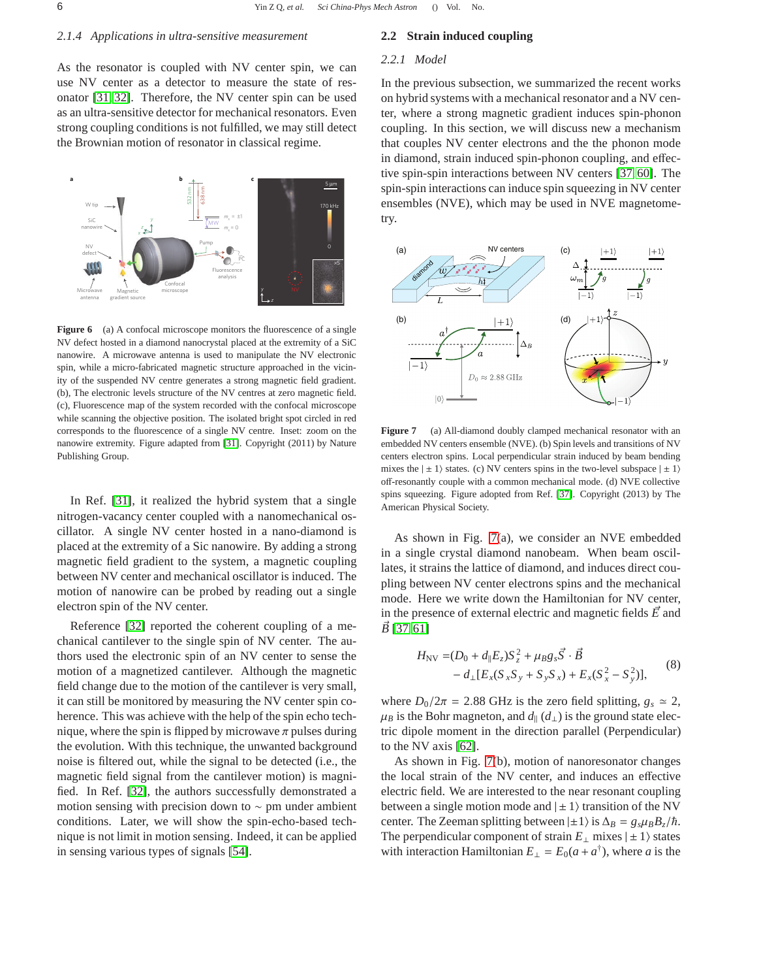### *2.1.4 Applications in ultra-sensitive measurement*

As the resonator is coupled with NV center spin, we can use NV center as a detector to measure the state of resonator [\[31,](#page-11-40) [32\]](#page-11-19). Therefore, the NV center spin can be used as an ultra-sensitive detector for mechanical resonators. Even strong coupling conditions is not fulfilled, we may still detect the Brownian motion of resonator in classical regime.



**Figure 6** (a) A confocal microscope monitors the fluorescence of a single NV defect hosted in a diamond nanocrystal placed at the extremity of a SiC nanowire. A microwave antenna is used to manipulate the NV electronic spin, while a micro-fabricated magnetic structure approached in the vicinity of the suspended NV centre generates a strong magnetic field gradient. (b), The electronic levels structure of the NV centres at zero magnetic field. (c), Fluorescence map of the system recorded with the confocal microscope while scanning the objective position. The isolated bright spot circled in red corresponds to the fluorescence of a single NV centre. Inset: zoom on the nanowire extremity. Figure adapted from [\[31\]](#page-11-40). Copyright (2011) by Nature Publishing Group.

In Ref. [\[31\]](#page-11-40), it realized the hybrid system that a single nitrogen-vacancy center coupled with a nanomechanical oscillator. A single NV center hosted in a nano-diamond is placed at the extremity of a Sic nanowire. By adding a strong magnetic field gradient to the system, a magnetic coupling between NV center and mechanical oscillator is induced. The motion of nanowire can be probed by reading out a single electron spin of the NV center.

Reference [\[32\]](#page-11-19) reported the coherent coupling of a mechanical cantilever to the single spin of NV center. The authors used the electronic spin of an NV center to sense the motion of a magnetized cantilever. Although the magnetic field change due to the motion of the cantilever is very small, it can still be monitored by measuring the NV center spin coherence. This was achieve with the help of the spin echo technique, where the spin is flipped by microwave  $\pi$  pulses during the evolution. With this technique, the unwanted background noise is filtered out, while the signal to be detected (i.e., the magnetic field signal from the cantilever motion) is magnified. In Ref. [\[32\]](#page-11-19), the authors successfully demonstrated a motion sensing with precision down to ∼ pm under ambient conditions. Later, we will show the spin-echo-based technique is not limit in motion sensing. Indeed, it can be applied in sensing various types of signals [\[54\]](#page-11-39).

### **2.2 Strain induced coupling**

### *2.2.1 Model*

In the previous subsection, we summarized the recent works on hybrid systems with a mechanical resonator and a NV center, where a strong magnetic gradient induces spin-phonon coupling. In this section, we will discuss new a mechanism that couples NV center electrons and the the phonon mode in diamond, strain induced spin-phonon coupling, and effective spin-spin interactions between NV centers [\[37,](#page-11-24) [60\]](#page-12-2). The spin-spin interactions can induce spin squeezing in NV center ensembles (NVE), which may be used in NVE magnetometry.



<span id="page-5-0"></span>**Figure 7** (a) All-diamond doubly clamped mechanical resonator with an embedded NV centers ensemble (NVE). (b) Spin levels and transitions of NV centers electron spins. Local perpendicular strain induced by beam bending mixes the  $|\pm 1\rangle$  states. (c) NV centers spins in the two-level subspace  $|\pm 1\rangle$ off-resonantly couple with a common mechanical mode. (d) NVE collective spins squeezing. Figure adopted from Ref. [\[37\]](#page-11-24). Copyright (2013) by The American Physical Society.

As shown in Fig. [7\(](#page-5-0)a), we consider an NVE embedded in a single crystal diamond nanobeam. When beam oscillates, it strains the lattice of diamond, and induces direct coupling between NV center electrons spins and the mechanical mode. Here we write down the Hamiltonian for NV center, in the presence of external electric and magnetic fields  $\vec{E}$  and  $\vec{B}$  [\[37,](#page-11-24) [61\]](#page-12-3)

$$
H_{\rm NV} = (D_0 + d_{\parallel} E_z) S_z^2 + \mu_B g_s \vec{S} \cdot \vec{B} - d_{\perp} [E_x (S_x S_y + S_y S_x) + E_x (S_x^2 - S_y^2)],
$$
 (8)

where  $D_0/2\pi = 2.88$  GHz is the zero field splitting,  $g_s \approx 2$ ,  $\mu_B$  is the Bohr magneton, and  $d_{\parallel}$  ( $d_{\perp}$ ) is the ground state electric dipole moment in the direction parallel (Perpendicular) to the NV axis [\[62\]](#page-12-4).

As shown in Fig. [7\(](#page-5-0)b), motion of nanoresonator changes the local strain of the NV center, and induces an effective electric field. We are interested to the near resonant coupling between a single motion mode and  $|\pm 1\rangle$  transition of the NV center. The Zeeman splitting between  $|\pm 1\rangle$  is  $\Delta_B = g_s \mu_B B_z/\hbar$ . The perpendicular component of strain  $E_{\perp}$  mixes  $|\pm 1\rangle$  states with interaction Hamiltonian  $E_{\perp} = E_0(a + a^{\dagger})$ , where *a* is the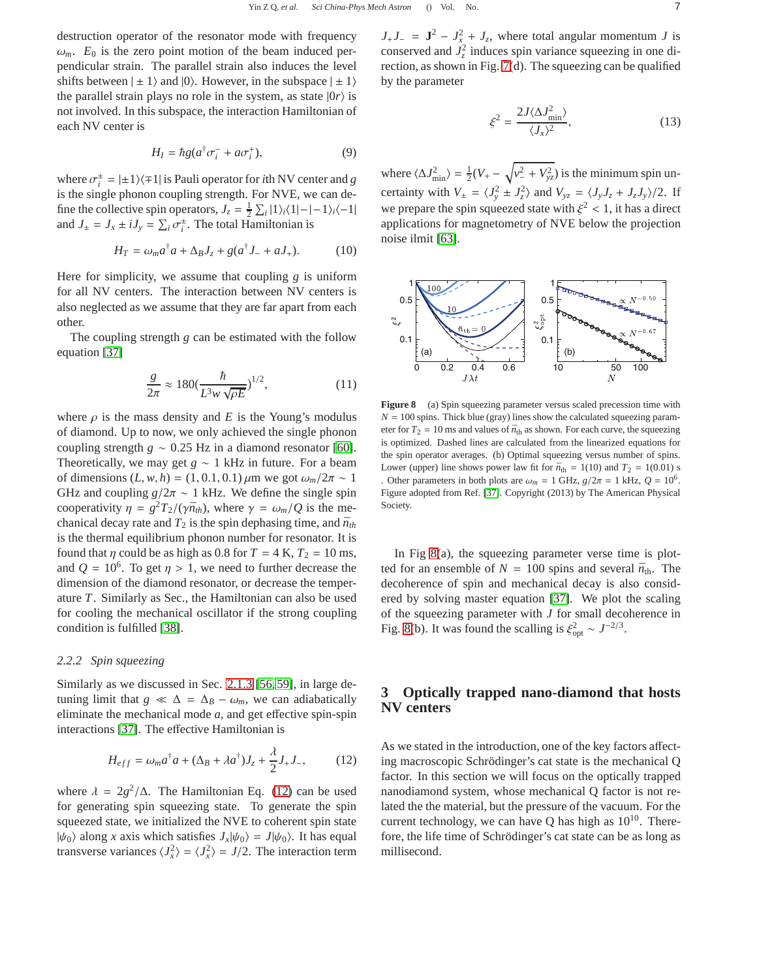destruction operator of the resonator mode with frequency  $\omega_m$ .  $E_0$  is the zero point motion of the beam induced perpendicular strain. The parallel strain also induces the level shifts between  $|\pm 1\rangle$  and  $|0\rangle$ . However, in the subspace  $|\pm 1\rangle$ the parallel strain plays no role in the system, as state  $|0r\rangle$  is not involved. In this subspace, the interaction Hamiltonian of each NV center is

$$
H_I = \hbar g (a^\dagger \sigma_i^- + a \sigma_i^+), \tag{9}
$$

where  $\sigma_i^{\pm} = |\pm 1\rangle\langle \mp 1|$  is Pauli operator for *i*th NV center and *g* is the single phonon coupling strength. For NVE, we can define the collective spin operators,  $J_z = \frac{1}{2} \sum_i |1\rangle_i \langle 1| - |1\rangle_i \langle -1|$ and  $J_{\pm} = J_x \pm iJ_y = \sum_i \sigma_i^{\pm}$ . The total Hamiltonian is

$$
H_T = \omega_m a^\dagger a + \Delta_B J_z + g(a^\dagger J_- + aJ_+). \tag{10}
$$

Here for simplicity, we assume that coupling *g* is uniform for all NV centers. The interaction between NV centers is also neglected as we assume that they are far apart from each other.

The coupling strength *g* can be estimated with the follow equation [\[37\]](#page-11-24)

$$
\frac{g}{2\pi} \approx 180 \left(\frac{\hbar}{L^3 w \sqrt{\rho E}}\right)^{1/2},\tag{11}
$$

where  $\rho$  is the mass density and *E* is the Young's modulus of diamond. Up to now, we only achieved the single phonon coupling strength *g* ∼ 0.25 Hz in a diamond resonator [\[60\]](#page-12-2). Theoretically, we may get  $g \sim 1$  kHz in future. For a beam of dimensions  $(L, w, h) = (1, 0.1, 0.1) \mu m$  we got  $\omega_m/2\pi \sim 1$ GHz and coupling  $g/2\pi \sim 1$  kHz. We define the single spin cooperativity  $\eta = g^2 T_2 / (\gamma \bar{n}_{th})$ , where  $\gamma = \omega_m / Q$  is the mechanical decay rate and  $T_2$  is the spin dephasing time, and  $\bar{n}_{th}$ is the thermal equilibrium phonon number for resonator. It is found that  $\eta$  could be as high as 0.8 for  $T = 4$  K,  $T_2 = 10$  ms, and  $Q = 10^6$ . To get  $\eta > 1$ , we need to further decrease the dimension of the diamond resonator, or decrease the temperature *T*. Similarly as Sec., the Hamiltonian can also be used for cooling the mechanical oscillator if the strong coupling condition is fulfilled [\[38\]](#page-11-25).

#### *2.2.2 Spin squeezing*

Similarly as we discussed in Sec. [2.1.3](#page-4-3) [\[56,](#page-11-42) [59\]](#page-12-1), in large detuning limit that  $g \ll \Delta = \Delta_B - \omega_m$ , we can adiabatically eliminate the mechanical mode *a*, and get effective spin-spin interactions [\[37\]](#page-11-24). The effective Hamiltonian is

<span id="page-6-1"></span>
$$
H_{eff} = \omega_m a^{\dagger} a + (\Delta_B + \lambda a^{\dagger}) J_z + \frac{\lambda}{2} J_+ J_-, \qquad (12)
$$

where  $\lambda = 2g^2/\Delta$ . The Hamiltonian Eq. [\(12\)](#page-6-1) can be used for generating spin squeezing state. To generate the spin squeezed state, we initialized the NVE to coherent spin state  $|\psi_0\rangle$  along *x* axis which satisfies  $J_x|\psi_0\rangle = J|\psi_0\rangle$ . It has equal transverse variances  $\langle J_x^2 \rangle = \langle J_x^2 \rangle = J/2$ . The interaction term

 $J_+J_- = \mathbf{J}^2 - J_{x}^2 + J_z$ , where total angular momentum *J* is conserved and  $J_z^2$  induces spin variance squeezing in one direction, as shown in Fig. [7\(](#page-5-0)d). The squeezing can be qualified by the parameter

$$
\xi^2 = \frac{2J\langle \Delta J_{\text{min}}^2 \rangle}{\langle J_x \rangle^2},\tag{13}
$$

where  $\langle \Delta J_{\text{min}}^2 \rangle = \frac{1}{2}(V_+ - \sqrt{v_-^2 + V_{yz}^2})$  is the minimum spin uncertainty with  $V_{\pm} = \langle J_y^2 \pm J_z^2 \rangle$  and  $V_{yz} = \langle J_y J_z + J_z J_y \rangle / 2$ . If we prepare the spin squeezed state with  $\xi^2$  < 1, it has a direct applications for magnetometry of NVE below the projection noise ilmit [\[63\]](#page-12-5).



<span id="page-6-2"></span>**Figure 8** (a) Spin squeezing parameter versus scaled precession time with  $N = 100$  spins. Thick blue (gray) lines show the calculated squeezing parameter for  $T_2 = 10$  ms and values of  $\bar{n}_{\text{th}}$  as shown. For each curve, the squeezing is optimized. Dashed lines are calculated from the linearized equations for the spin operator averages. (b) Optimal squeezing versus number of spins. Lower (upper) line shows power law fit for  $\bar{n}_{\text{th}} = 1(10)$  and  $T_2 = 1(0.01)$  s . Other parameters in both plots are  $\omega_m = 1$  GHz,  $g/2\pi = 1$  kHz,  $Q = 10^6$ . Figure adopted from Ref. [\[37\]](#page-11-24). Copyright (2013) by The American Physical Society.

In Fig [8\(](#page-6-2)a), the squeezing parameter verse time is plotted for an ensemble of  $N = 100$  spins and several  $\bar{n}_{th}$ . The decoherence of spin and mechanical decay is also considered by solving master equation [\[37\]](#page-11-24). We plot the scaling of the squeezing parameter with *J* for small decoherence in Fig. [8\(](#page-6-2)b). It was found the scalling is  $\xi_{opt}^2 \sim J^{-2/3}$ .

# <span id="page-6-0"></span>**3 Optically trapped nano-diamond that hosts NV centers**

As we stated in the introduction, one of the key factors affecting macroscopic Schrödinger's cat state is the mechanical Q factor. In this section we will focus on the optically trapped nanodiamond system, whose mechanical Q factor is not related the the material, but the pressure of the vacuum. For the current technology, we can have Q has high as  $10^{10}$ . Therefore, the life time of Schrödinger's cat state can be as long as millisecond.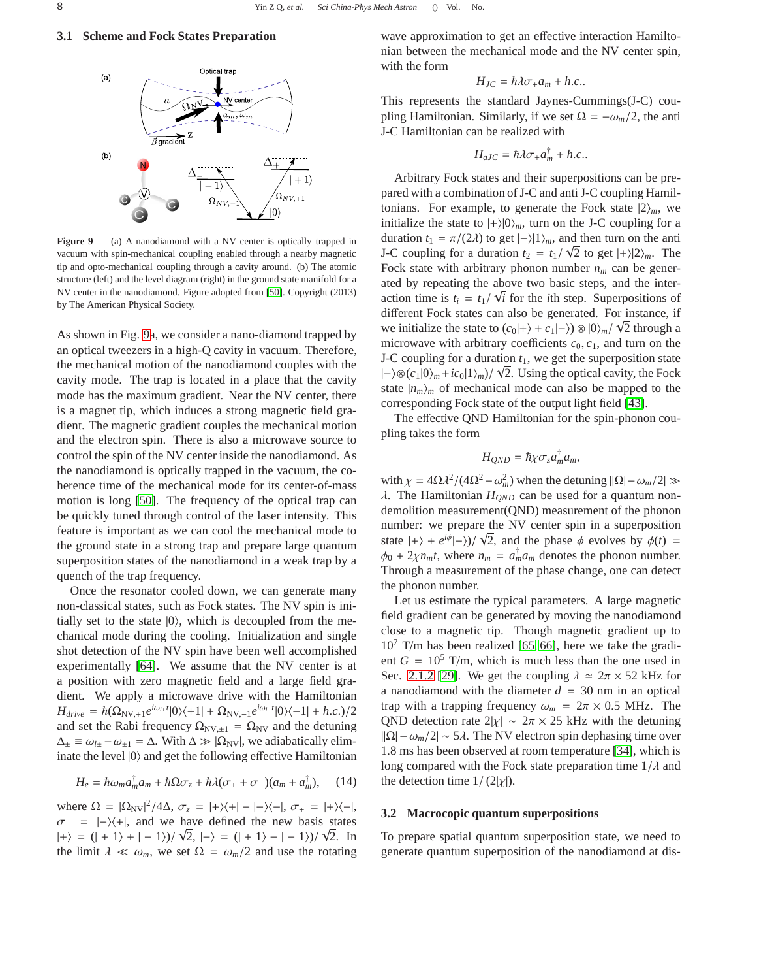# **3.1 Scheme and Fock States Preparation**



<span id="page-7-0"></span>**Figure 9** (a) A nanodiamond with a NV center is optically trapped in vacuum with spin-mechanical coupling enabled through a nearby magnetic tip and opto-mechanical coupling through a cavity around. (b) The atomic structure (left) and the level diagram (right) in the ground state manifold for a NV center in the nanodiamond. Figure adopted from [\[50\]](#page-11-31). Copyright (2013) by The American Physical Society.

As shown in Fig. [9a](#page-7-0), we consider a nano-diamond trapped by an optical tweezers in a high-Q cavity in vacuum. Therefore, the mechanical motion of the nanodiamond couples with the cavity mode. The trap is located in a place that the cavity mode has the maximum gradient. Near the NV center, there is a magnet tip, which induces a strong magnetic field gradient. The magnetic gradient couples the mechanical motion and the electron spin. There is also a microwave source to control the spin of the NV center inside the nanodiamond. As the nanodiamond is optically trapped in the vacuum, the coherence time of the mechanical mode for its center-of-mass motion is long [\[50\]](#page-11-31). The frequency of the optical trap can be quickly tuned through control of the laser intensity. This feature is important as we can cool the mechanical mode to the ground state in a strong trap and prepare large quantum superposition states of the nanodiamond in a weak trap by a quench of the trap frequency.

Once the resonator cooled down, we can generate many non-classical states, such as Fock states. The NV spin is initially set to the state  $|0\rangle$ , which is decoupled from the mechanical mode during the cooling. Initialization and single shot detection of the NV spin have been well accomplished experimentally [\[64\]](#page-12-6). We assume that the NV center is at a position with zero magnetic field and a large field gradient. We apply a microwave drive with the Hamiltonian  $H_{drive} = \hbar(\Omega_{NV,+1}e^{i\omega_{l+}t}|\theta\rangle\langle+1| + \Omega_{NV,-1}e^{i\omega_{l-}t}|\theta\rangle\langle-1| + h.c.)/2$ and set the Rabi frequency  $\Omega_{\text{NV},\pm 1} = \Omega_{\text{NV}}$  and the detuning  $\Delta_{\pm} \equiv \omega_{l\pm} - \omega_{\pm 1} = \Delta$ . With  $\Delta \gg |\Omega_{\text{NV}}|$ , we adiabatically eliminate the level  $|0\rangle$  and get the following effective Hamiltonian

$$
H_e = \hbar \omega_m a_m^{\dagger} a_m + \hbar \Omega \sigma_z + \hbar \lambda (\sigma_+ + \sigma_-) (a_m + a_m^{\dagger}), \quad (14)
$$

where  $\Omega = |\Omega_{\text{NV}}|^2/4\Delta$ ,  $\sigma_z = |+\rangle\langle+| - |-\rangle\langle-|$ ,  $\sigma_+ = |+\rangle\langle-|$ ,  $\sigma$ <sub>-</sub> =  $|\rightarrow\rangle$ \+|, and we have defined the new basis states  $|+\rangle = (| + 1 \rangle + | - 1 \rangle)/\sqrt{2}$ ,  $|-\rangle = (| + 1 \rangle - | - 1 \rangle)/\sqrt{2}$ . In the limit  $\lambda \ll \omega_m$ , we set  $\Omega = \omega_m/2$  and use the rotating wave approximation to get an effective interaction Hamiltonian between the mechanical mode and the NV center spin, with the form

$$
H_{JC} = \hbar \lambda \sigma_+ a_m + h.c..
$$

This represents the standard Jaynes-Cummings(J-C) coupling Hamiltonian. Similarly, if we set  $\Omega = -\omega_m/2$ , the anti J-C Hamiltonian can be realized with

$$
H_{aJC}=\hbar\lambda\sigma_{+}a_{m}^{\dagger}+h.c..
$$

Arbitrary Fock states and their superpositions can be prepared with a combination of J-C and anti J-C coupling Hamiltonians. For example, to generate the Fock state  $|2\rangle_m$ , we initialize the state to  $|+\rangle|0\rangle_m$ , turn on the J-C coupling for a duration  $t_1 = \pi/(2\lambda)$  to get  $|\rightarrow|1\rangle_m$ , and then turn on the anti J-C coupling for a duration  $t_2 = t_1/\sqrt{2}$  to get  $|+\rangle|2\rangle_m$ . The Fock state with arbitrary phonon number  $n_m$  can be generated by repeating the above two basic steps, and the interaction time is  $t_i = t_1/\sqrt{i}$  for the *i*th step. Superpositions of different Fock states can also be generated. For instance, if we initialize the state to  $(c_0|+\rangle + c_1|-\rangle) \otimes |0\rangle_m/\sqrt{2}$  through a microwave with arbitrary coefficients  $c_0$ ,  $c_1$ , and turn on the J-C coupling for a duration  $t_1$ , we get the superposition state  $|-$ i $\otimes$ (*c*<sub>1</sub>|0)<sub>*m*</sub> + *ic*<sub>0</sub>|1)<sub>*m*</sub>)/  $\sqrt{2}$ . Using the optical cavity, the Fock state  $|n_m\rangle_m$  of mechanical mode can also be mapped to the corresponding Fock state of the output light field [\[43\]](#page-11-34).

The effective QND Hamiltonian for the spin-phonon coupling takes the form

$$
H_{QND}=\hbar\chi\sigma_z a_m^\dagger a_m,
$$

with  $\chi = 4\Omega \lambda^2/(4\Omega^2 - \omega_m^2)$  when the detuning  $||\Omega| - \omega_m/2| \gg$  $\lambda$ . The Hamiltonian  $H_{OND}$  can be used for a quantum nondemolition measurement(QND) measurement of the phonon number: we prepare the NV center spin in a superposition state  $|+\rangle + e^{i\phi}(-\rangle)/\sqrt{2}$ , and the phase  $\phi$  evolves by  $\phi(t)$  =  $\phi_0 + 2\chi n_m t$ , where  $n_m = a_m^{\dagger} a_m$  denotes the phonon number. Through a measurement of the phase change, one can detect the phonon number.

Let us estimate the typical parameters. A large magnetic field gradient can be generated by moving the nanodiamond close to a magnetic tip. Though magnetic gradient up to  $10^7$  T/m has been realized [\[65,](#page-12-7) [66\]](#page-12-8), here we take the gradient  $G = 10^5$  T/m, which is much less than the one used in Sec. [2.1.2](#page-3-2) [\[29\]](#page-11-18). We get the coupling  $\lambda \approx 2\pi \times 52$  kHz for a nanodiamond with the diameter  $d = 30$  nm in an optical trap with a trapping frequency  $\omega_m = 2\pi \times 0.5$  MHz. The QND detection rate  $2|\chi| \sim 2\pi \times 25$  kHz with the detuning  $||\Omega| - \omega_m/2| \sim 5\lambda$ . The NV electron spin dephasing time over 1.8 ms has been observed at room temperature [\[34\]](#page-11-21), which is long compared with the Fock state preparation time  $1/\lambda$  and the detection time  $1/(2|\chi|)$ .

#### **3.2 Macrocopic quantum superpositions**

To prepare spatial quantum superposition state, we need to generate quantum superposition of the nanodiamond at dis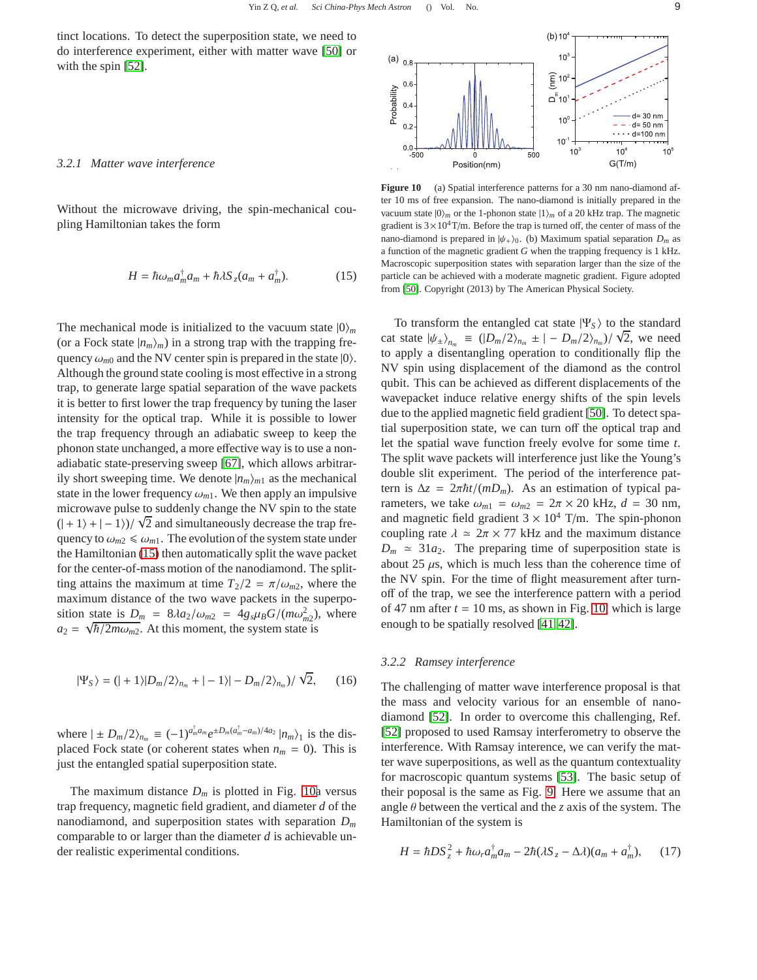tinct locations. To detect the superposition state, we need to do interference experiment, either with matter wave [\[50\]](#page-11-31) or with the spin [\[52\]](#page-11-37).

#### *3.2.1 Matter wave interference*

Without the microwave driving, the spin-mechanical coupling Hamiltonian takes the form

<span id="page-8-0"></span>
$$
H = \hbar \omega_m a_m^{\dagger} a_m + \hbar \lambda S_z (a_m + a_m^{\dagger}). \tag{15}
$$

The mechanical mode is initialized to the vacuum state  $|0\rangle_m$ (or a Fock state  $|n_m\rangle_m$ ) in a strong trap with the trapping frequency  $\omega_{m0}$  and the NV center spin is prepared in the state  $|0\rangle$ . Although the ground state cooling is most effective in a strong trap, to generate large spatial separation of the wave packets it is better to first lower the trap frequency by tuning the laser intensity for the optical trap. While it is possible to lower the trap frequency through an adiabatic sweep to keep the phonon state unchanged, a more effective way is to use a nonadiabatic state-preserving sweep [\[67\]](#page-12-9), which allows arbitrarily short sweeping time. We denote  $|n_m\rangle_{m1}$  as the mechanical state in the lower frequency  $\omega_{m1}$ . We then apply an impulsive microwave pulse to suddenly change the NV spin to the state  $(|+1\rangle+|-1\rangle)/\sqrt{2}$  and simultaneously decrease the trap frequency to  $\omega_{m2} \leq \omega_{m1}$ . The evolution of the system state under the Hamiltonian [\(15\)](#page-8-0) then automatically split the wave packet for the center-of-mass motion of the nanodiamond. The splitting attains the maximum at time  $T_2/2 = \pi/\omega_{m2}$ , where the maximum distance of the two wave packets in the superposition state is  $D_m = 8\lambda a_2/\omega_{m2} = 4g_s\mu_B G/(m\omega_{m2}^2)$ , where  $a_2 = \sqrt{\hbar/2m\omega_{m2}}$ . At this moment, the system state is

$$
|\Psi_S\rangle = (|+1\rangle|D_m/2\rangle_{n_m} + |-1\rangle| - D_m/2\rangle_{n_m})/\sqrt{2}, \qquad (16)
$$

where  $| \pm D_m/2 \rangle_{n_m} \equiv (-1)^{a_m^{\dagger} a_m} e^{\pm D_m (a_m^{\dagger} - a_m)/4a_2} |n_m \rangle_1$  is the displaced Fock state (or coherent states when  $n_m = 0$ ). This is just the entangled spatial superposition state.

The maximum distance  $D_m$  is plotted in Fig. [10a](#page-8-1) versus trap frequency, magnetic field gradient, and diameter *d* of the nanodiamond, and superposition states with separation *D<sup>m</sup>* comparable to or larger than the diameter *d* is achievable under realistic experimental conditions.

<span id="page-8-1"></span>

To transform the entangled cat state  $|\Psi_{S}\rangle$  to the standard cat state  $|\psi_{\pm}\rangle_{n_m} \equiv (|D_m/2\rangle_{n_m} \pm | - D_m/2\rangle_{n_m})/\sqrt{2}$ , we need to apply a disentangling operation to conditionally flip the NV spin using displacement of the diamond as the control qubit. This can be achieved as different displacements of the wavepacket induce relative energy shifts of the spin levels due to the applied magnetic field gradient [\[50\]](#page-11-31). To detect spatial superposition state, we can turn off the optical trap and let the spatial wave function freely evolve for some time *t*. The split wave packets will interference just like the Young's double slit experiment. The period of the interference pattern is  $\Delta z = 2\pi \hbar t/(mD_m)$ . As an estimation of typical parameters, we take  $\omega_{m1} = \omega_{m2} = 2\pi \times 20$  kHz,  $d = 30$  nm, and magnetic field gradient  $3 \times 10^4$  T/m. The spin-phonon coupling rate  $\lambda \approx 2\pi \times 77$  kHz and the maximum distance  $D_m \approx 31a_2$ . The preparing time of superposition state is about 25  $\mu$ s, which is much less than the coherence time of the NV spin. For the time of flight measurement after turnoff of the trap, we see the interference pattern with a period of 47 nm after  $t = 10$  ms, as shown in Fig. [10,](#page-8-1) which is large enough to be spatially resolved [\[41,](#page-11-32) [42\]](#page-11-33).

#### *3.2.2 Ramsey interference*

The challenging of matter wave interference proposal is that the mass and velocity various for an ensemble of nanodiamond [\[52\]](#page-11-37). In order to overcome this challenging, Ref. [\[52\]](#page-11-37) proposed to used Ramsay interferometry to observe the interference. With Ramsay interence, we can verify the matter wave superpositions, as well as the quantum contextuality for macroscopic quantum systems [\[53\]](#page-11-38). The basic setup of their poposal is the same as Fig. [9.](#page-7-0) Here we assume that an angle θ between the vertical and the *z* axis of the system. The Hamiltonian of the system is

$$
H = \hbar D S_z^2 + \hbar \omega_r a_m^{\dagger} a_m - 2\hbar (\lambda S_z - \Delta \lambda) (a_m + a_m^{\dagger}), \qquad (17)
$$

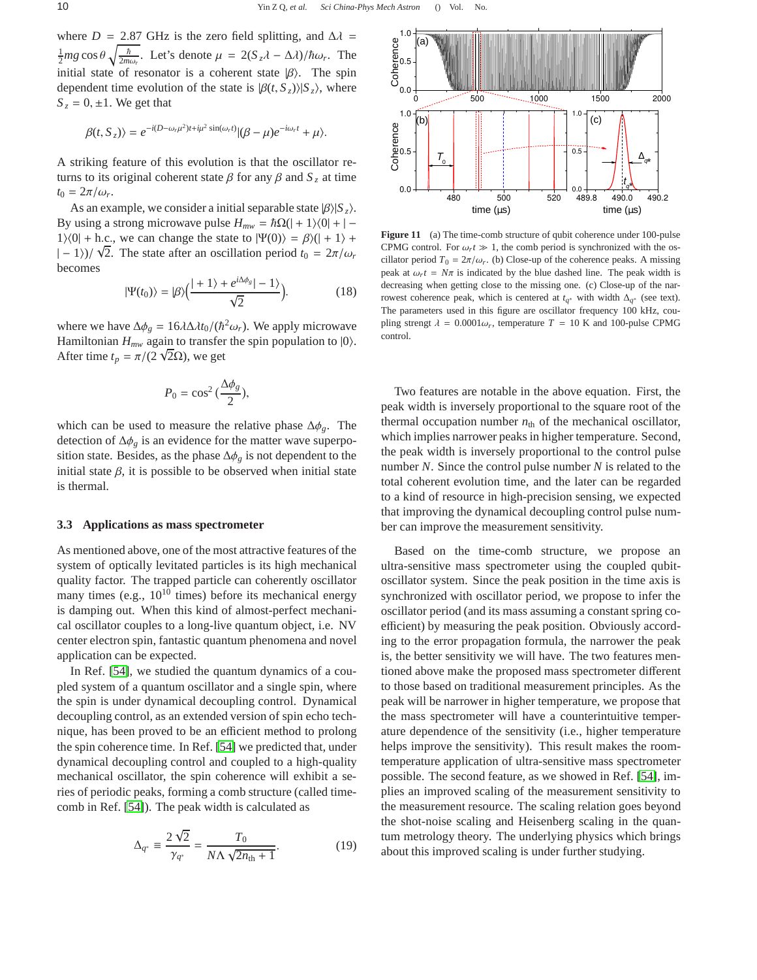where *D* = 2.87 GHz is the zero field splitting, and  $\Delta \lambda$  =  $\frac{1}{2}$ mg cos θ  $\sqrt{\frac{\hbar}{2m}}$  $\frac{\hbar}{2m\omega_r}$ . Let's denote  $\mu = 2(S_z\lambda - \Delta\lambda)/\hbar\omega_r$ . The initial state of resonator is a coherent state  $|\beta\rangle$ . The spin dependent time evolution of the state is  $|\beta(t, S_z)|/|S_z|$ , where  $S_z = 0, \pm 1$ . We get that

$$
\beta(t,S_z)\rangle = e^{-i(D-\omega_r\mu^2)t+i\mu^2\sin(\omega_r t)}|\beta-\mu e^{-i\omega_r t}+\mu\rangle.
$$

A striking feature of this evolution is that the oscillator returns to its original coherent state  $\beta$  for any  $\beta$  and  $S_z$  at time  $t_0 = 2\pi/\omega_r$ .

As an example, we consider a initial separable state  $|\beta\rangle|S_z\rangle$ . By using a strong microwave pulse  $H_{mw} = \hbar\Omega(|+1\rangle\langle0| + |-$ 1) $\langle 0| +$  h.c., we can change the state to  $|\Psi(0)\rangle = \beta \rangle (| + 1 \rangle +$  $|-1\rangle$ )/  $\sqrt{2}$ . The state after an oscillation period  $t_0 = 2\pi/\omega_r$ becomes

$$
|\Psi(t_0)\rangle = |\beta\rangle \Big(\frac{|+1\rangle + e^{i\Delta\phi_g}| - 1\rangle}{\sqrt{2}}\Big). \tag{18}
$$

where we have  $\Delta \phi_g = 16\lambda \Delta \lambda t_0 / (\hbar^2 \omega_r)$ . We apply microwave Hamiltonian  $H_{mw}$  again to transfer the spin population to  $|0\rangle$ . After time  $t_p = \pi/(2\sqrt{2}\Omega)$ , we get

$$
P_0 = \cos^2\left(\frac{\Delta \phi_g}{2}\right),
$$

which can be used to measure the relative phase ∆φ*g*. The detection of ∆φ*<sup>g</sup>* is an evidence for the matter wave superposition state. Besides, as the phase ∆φ*<sup>g</sup>* is not dependent to the initial state  $\beta$ , it is possible to be observed when initial state is thermal.

#### **3.3 Applications as mass spectrometer**

As mentioned above, one of the most attractive features of the system of optically levitated particles is its high mechanical quality factor. The trapped particle can coherently oscillator many times (e.g.,  $10^{10}$  times) before its mechanical energy is damping out. When this kind of almost-perfect mechanical oscillator couples to a long-live quantum object, i.e. NV center electron spin, fantastic quantum phenomena and novel application can be expected.

In Ref. [\[54\]](#page-11-39), we studied the quantum dynamics of a coupled system of a quantum oscillator and a single spin, where the spin is under dynamical decoupling control. Dynamical decoupling control, as an extended version of spin echo technique, has been proved to be an efficient method to prolong the spin coherence time. In Ref. [\[54\]](#page-11-39) we predicted that, under dynamical decoupling control and coupled to a high-quality mechanical oscillator, the spin coherence will exhibit a series of periodic peaks, forming a comb structure (called timecomb in Ref. [\[54\]](#page-11-39)). The peak width is calculated as

$$
\Delta_{q^*} \equiv \frac{2\sqrt{2}}{\gamma_{q^*}} = \frac{T_0}{N\Lambda\sqrt{2n_{\text{th}}+1}}.\tag{19}
$$



Figure 11 (a) The time-comb structure of qubit coherence under 100-pulse CPMG control. For  $\omega_r t \gg 1$ , the comb period is synchronized with the oscillator period  $T_0 = 2\pi/\omega_r$ . (b) Close-up of the coherence peaks. A missing peak at  $\omega_r t = N\pi$  is indicated by the blue dashed line. The peak width is decreasing when getting close to the missing one. (c) Close-up of the narrowest coherence peak, which is centered at  $t_{q^*}$  with width  $\Delta_{q^*}$  (see text). The parameters used in this figure are oscillator frequency 100 kHz, coupling strengt  $\lambda = 0.0001\omega_r$ , temperature  $T = 10$  K and 100-pulse CPMG control.

Two features are notable in the above equation. First, the peak width is inversely proportional to the square root of the thermal occupation number  $n_{\text{th}}$  of the mechanical oscillator, which implies narrower peaks in higher temperature. Second, the peak width is inversely proportional to the control pulse number *N*. Since the control pulse number *N* is related to the total coherent evolution time, and the later can be regarded to a kind of resource in high-precision sensing, we expected that improving the dynamical decoupling control pulse number can improve the measurement sensitivity.

Based on the time-comb structure, we propose an ultra-sensitive mass spectrometer using the coupled qubitoscillator system. Since the peak position in the time axis is synchronized with oscillator period, we propose to infer the oscillator period (and its mass assuming a constant spring coefficient) by measuring the peak position. Obviously according to the error propagation formula, the narrower the peak is, the better sensitivity we will have. The two features mentioned above make the proposed mass spectrometer different to those based on traditional measurement principles. As the peak will be narrower in higher temperature, we propose that the mass spectrometer will have a counterintuitive temperature dependence of the sensitivity (i.e., higher temperature helps improve the sensitivity). This result makes the roomtemperature application of ultra-sensitive mass spectrometer possible. The second feature, as we showed in Ref. [\[54\]](#page-11-39), implies an improved scaling of the measurement sensitivity to the measurement resource. The scaling relation goes beyond the shot-noise scaling and Heisenberg scaling in the quantum metrology theory. The underlying physics which brings about this improved scaling is under further studying.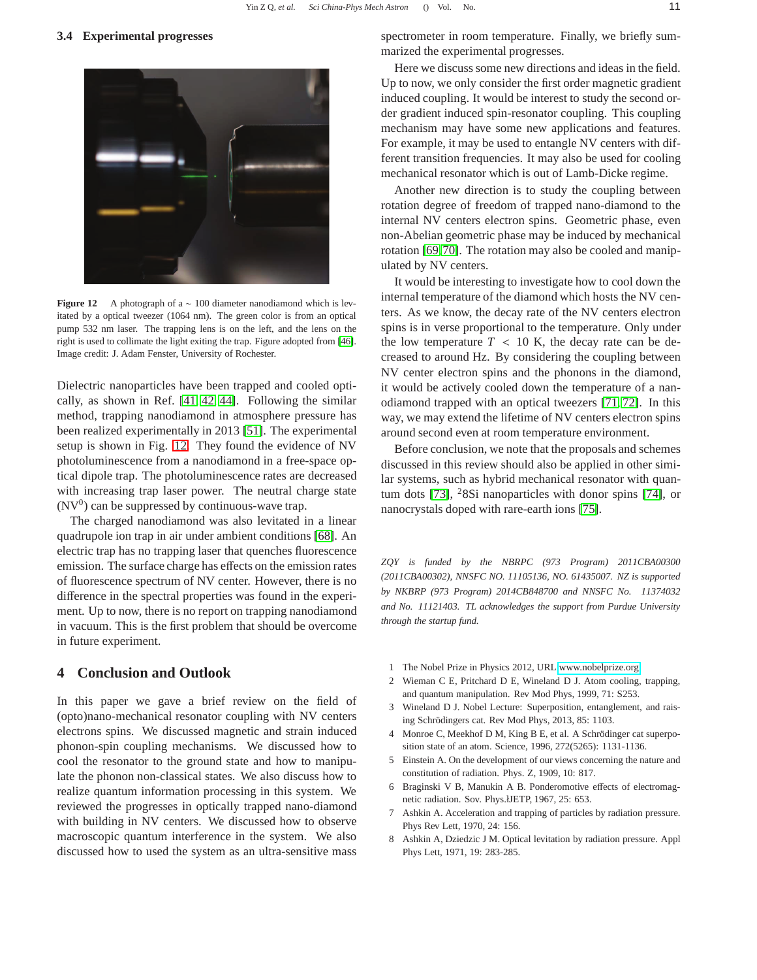### **3.4 Experimental progresses**



**Figure 12** A photograph of a ∼ 100 diameter nanodiamond which is levitated by a optical tweezer (1064 nm). The green color is from an optical pump 532 nm laser. The trapping lens is on the left, and the lens on the right is used to collimate the light exiting the trap. Figure adopted from [\[46\]](#page-11-44). Image credit: J. Adam Fenster, University of Rochester.

<span id="page-10-9"></span>Dielectric nanoparticles have been trapped and cooled optically, as shown in Ref. [\[41,](#page-11-32) [42,](#page-11-33) [44\]](#page-11-35). Following the similar method, trapping nanodiamond in atmosphere pressure has been realized experimentally in 2013 [\[51\]](#page-11-36). The experimental setup is shown in Fig. [12.](#page-10-9) They found the evidence of NV photoluminescence from a nanodiamond in a free-space optical dipole trap. The photoluminescence rates are decreased with increasing trap laser power. The neutral charge state  $(NV<sup>0</sup>)$  can be suppressed by continuous-wave trap.

The charged nanodiamond was also levitated in a linear quadrupole ion trap in air under ambient conditions [\[68\]](#page-12-10). An electric trap has no trapping laser that quenches fluorescence emission. The surface charge has effects on the emission rates of fluorescence spectrum of NV center. However, there is no difference in the spectral properties was found in the experiment. Up to now, there is no report on trapping nanodiamond in vacuum. This is the first problem that should be overcome in future experiment.

### <span id="page-10-8"></span>**4 Conclusion and Outlook**

In this paper we gave a brief review on the field of (opto)nano-mechanical resonator coupling with NV centers electrons spins. We discussed magnetic and strain induced phonon-spin coupling mechanisms. We discussed how to cool the resonator to the ground state and how to manipulate the phonon non-classical states. We also discuss how to realize quantum information processing in this system. We reviewed the progresses in optically trapped nano-diamond with building in NV centers. We discussed how to observe macroscopic quantum interference in the system. We also discussed how to used the system as an ultra-sensitive mass spectrometer in room temperature. Finally, we briefly summarized the experimental progresses.

Here we discuss some new directions and ideas in the field. Up to now, we only consider the first order magnetic gradient induced coupling. It would be interest to study the second order gradient induced spin-resonator coupling. This coupling mechanism may have some new applications and features. For example, it may be used to entangle NV centers with different transition frequencies. It may also be used for cooling mechanical resonator which is out of Lamb-Dicke regime.

Another new direction is to study the coupling between rotation degree of freedom of trapped nano-diamond to the internal NV centers electron spins. Geometric phase, even non-Abelian geometric phase may be induced by mechanical rotation [\[69,](#page-12-11)[70\]](#page-12-12). The rotation may also be cooled and manipulated by NV centers.

It would be interesting to investigate how to cool down the internal temperature of the diamond which hosts the NV centers. As we know, the decay rate of the NV centers electron spins is in verse proportional to the temperature. Only under the low temperature  $T < 10$  K, the decay rate can be decreased to around Hz. By considering the coupling between NV center electron spins and the phonons in the diamond, it would be actively cooled down the temperature of a nanodiamond trapped with an optical tweezers [\[71,](#page-12-13) [72\]](#page-12-14). In this way, we may extend the lifetime of NV centers electron spins around second even at room temperature environment.

Before conclusion, we note that the proposals and schemes discussed in this review should also be applied in other similar systems, such as hybrid mechanical resonator with quantum dots [\[73\]](#page-12-15), <sup>2</sup>8Si nanoparticles with donor spins [\[74\]](#page-12-16), or nanocrystals doped with rare-earth ions [\[75\]](#page-12-17).

*ZQY is funded by the NBRPC (973 Program) 2011CBA00300 (2011CBA00302), NNSFC NO. 11105136, NO. 61435007. NZ is supported by NKBRP (973 Program) 2014CB848700 and NNSFC No. 11374032 and No. 11121403. TL acknowledges the support from Purdue University through the startup fund.*

- <span id="page-10-1"></span><span id="page-10-0"></span>1 The Nobel Prize in Physics 2012, URL [www.nobelprize.org](http://www.nobelprize.org/nobel_prizes/physics/laureates/2012/)
- 2 Wieman C E, Pritchard D E, Wineland D J. Atom cooling, trapping, and quantum manipulation. Rev Mod Phys, 1999, 71: S253.
- <span id="page-10-2"></span>3 Wineland D J. Nobel Lecture: Superposition, entanglement, and raising Schrödingers cat. Rev Mod Phys, 2013, 85: 1103.
- <span id="page-10-3"></span>4 Monroe C, Meekhof D M, King B E, et al. A Schrödinger cat superposition state of an atom. Science, 1996, 272(5265): 1131-1136.
- <span id="page-10-4"></span>5 Einstein A. On the development of our views concerning the nature and constitution of radiation. Phys. Z, 1909, 10: 817.
- <span id="page-10-5"></span>6 Braginski V B, Manukin A B. Ponderomotive effects of electromagnetic radiation. Sov. Phys.łJETP, 1967, 25: 653.
- <span id="page-10-6"></span>7 Ashkin A. Acceleration and trapping of particles by radiation pressure. Phys Rev Lett, 1970, 24: 156.
- <span id="page-10-7"></span>8 Ashkin A, Dziedzic J M. Optical levitation by radiation pressure. Appl Phys Lett, 1971, 19: 283-285.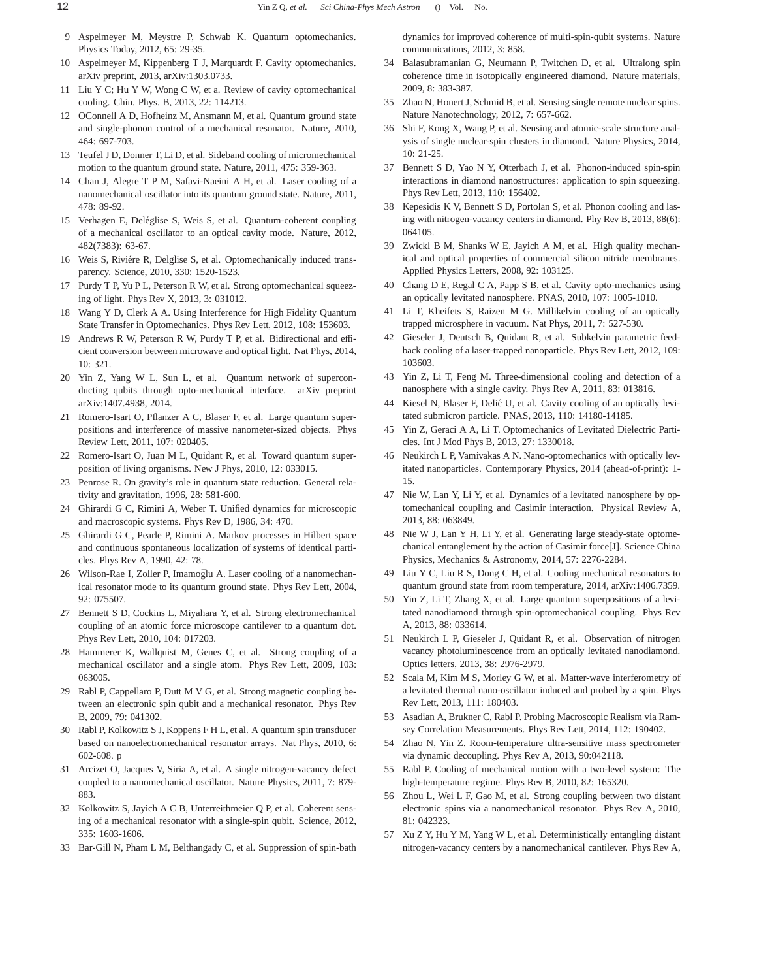- <span id="page-11-0"></span>9 Aspelmeyer M, Meystre P, Schwab K. Quantum optomechanics. Physics Today, 2012, 65: 29-35.
- <span id="page-11-1"></span>10 Aspelmeyer M, Kippenberg T J, Marquardt F. Cavity optomechanics. arXiv preprint, 2013, arXiv:1303.0733.
- 11 Liu Y C; Hu Y W, Wong C W, et a. Review of cavity optomechanical cooling. Chin. Phys. B, 2013, 22: 114213.
- <span id="page-11-2"></span>12 OConnell A D, Hofheinz M, Ansmann M, et al. Quantum ground state and single-phonon control of a mechanical resonator. Nature, 2010, 464: 697-703.
- <span id="page-11-3"></span>13 Teufel J D, Donner T, Li D, et al. Sideband cooling of micromechanical motion to the quantum ground state. Nature, 2011, 475: 359-363.
- <span id="page-11-4"></span>14 Chan J, Alegre T P M, Safavi-Naeini A H, et al. Laser cooling of a nanomechanical oscillator into its quantum ground state. Nature, 2011, 478: 89-92.
- <span id="page-11-5"></span>15 Verhagen E, Deléglise S, Weis S, et al. Quantum-coherent coupling of a mechanical oscillator to an optical cavity mode. Nature, 2012, 482(7383): 63-67.
- <span id="page-11-6"></span>16 Weis S, Riviére R, Delglise S, et al. Optomechanically induced transparency. Science, 2010, 330: 1520-1523.
- <span id="page-11-7"></span>17 Purdy T P, Yu P L, Peterson R W, et al. Strong optomechanical squeezing of light. Phys Rev X, 2013, 3: 031012.
- <span id="page-11-8"></span>18 Wang Y D, Clerk A A. Using Interference for High Fidelity Quantum State Transfer in Optomechanics. Phys Rev Lett, 2012, 108: 153603.
- 19 Andrews R W, Peterson R W, Purdy T P, et al. Bidirectional and efficient conversion between microwave and optical light. Nat Phys, 2014, 10: 321.
- <span id="page-11-9"></span>20 Yin Z, Yang W L, Sun L, et al. Quantum network of superconducting qubits through opto-mechanical interface. arXiv preprint arXiv:1407.4938, 2014.
- <span id="page-11-10"></span>21 Romero-Isart O, Pflanzer A C, Blaser F, et al. Large quantum superpositions and interference of massive nanometer-sized objects. Phys Review Lett, 2011, 107: 020405.
- <span id="page-11-11"></span>22 Romero-Isart O, Juan M L, Quidant R, et al. Toward quantum superposition of living organisms. New J Phys, 2010, 12: 033015.
- <span id="page-11-12"></span>23 Penrose R. On gravity's role in quantum state reduction. General relativity and gravitation, 1996, 28: 581-600.
- <span id="page-11-13"></span>24 Ghirardi G C, Rimini A, Weber T. Unified dynamics for microscopic and macroscopic systems. Phys Rev D, 1986, 34: 470.
- <span id="page-11-14"></span>25 Ghirardi G C, Pearle P, Rimini A. Markov processes in Hilbert space and continuous spontaneous localization of systems of identical particles. Phys Rev A, 1990, 42: 78.
- <span id="page-11-15"></span>26 Wilson-Rae I, Zoller P, Imamoglu A. Laser cooling of a nanomechanical resonator mode to its quantum ground state. Phys Rev Lett, 2004, 92: 075507.
- <span id="page-11-16"></span>27 Bennett S D, Cockins L, Miyahara Y, et al. Strong electromechanical coupling of an atomic force microscope cantilever to a quantum dot. Phys Rev Lett, 2010, 104: 017203.
- <span id="page-11-17"></span>28 Hammerer K, Wallquist M, Genes C, et al. Strong coupling of a mechanical oscillator and a single atom. Phys Rev Lett, 2009, 103: 063005.
- <span id="page-11-18"></span>29 Rabl P, Cappellaro P, Dutt M V G, et al. Strong magnetic coupling between an electronic spin qubit and a mechanical resonator. Phys Rev B, 2009, 79: 041302.
- <span id="page-11-26"></span>30 Rabl P, Kolkowitz S J, Koppens F H L, et al. A quantum spin transducer based on nanoelectromechanical resonator arrays. Nat Phys, 2010, 6: 602-608. p
- <span id="page-11-40"></span>31 Arcizet O, Jacques V, Siria A, et al. A single nitrogen-vacancy defect coupled to a nanomechanical oscillator. Nature Physics, 2011, 7: 879- 883.
- <span id="page-11-19"></span>32 Kolkowitz S, Jayich A C B, Unterreithmeier Q P, et al. Coherent sensing of a mechanical resonator with a single-spin qubit. Science, 2012, 335: 1603-1606.
- <span id="page-11-20"></span>33 Bar-Gill N, Pham L M, Belthangady C, et al. Suppression of spin-bath

dynamics for improved coherence of multi-spin-qubit systems. Nature communications, 2012, 3: 858.

- <span id="page-11-21"></span>34 Balasubramanian G, Neumann P, Twitchen D, et al. Ultralong spin coherence time in isotopically engineered diamond. Nature materials, 2009, 8: 383-387.
- <span id="page-11-22"></span>35 Zhao N, Honert J, Schmid B, et al. Sensing single remote nuclear spins. Nature Nanotechnology, 2012, 7: 657-662.
- <span id="page-11-23"></span>36 Shi F, Kong X, Wang P, et al. Sensing and atomic-scale structure analysis of single nuclear-spin clusters in diamond. Nature Physics, 2014, 10: 21-25.
- <span id="page-11-24"></span>37 Bennett S D, Yao N Y, Otterbach J, et al. Phonon-induced spin-spin interactions in diamond nanostructures: application to spin squeezing. Phys Rev Lett, 2013, 110: 156402.
- <span id="page-11-25"></span>38 Kepesidis K V, Bennett S D, Portolan S, et al. Phonon cooling and lasing with nitrogen-vacancy centers in diamond. Phy Rev B, 2013, 88(6): 064105.
- <span id="page-11-27"></span>39 Zwickl B M, Shanks W E, Jayich A M, et al. High quality mechanical and optical properties of commercial silicon nitride membranes. Applied Physics Letters, 2008, 92: 103125.
- <span id="page-11-28"></span>40 Chang D E, Regal C A, Papp S B, et al. Cavity opto-mechanics using an optically levitated nanosphere. PNAS, 2010, 107: 1005-1010.
- <span id="page-11-32"></span>41 Li T, Kheifets S, Raizen M G. Millikelvin cooling of an optically trapped microsphere in vacuum. Nat Phys, 2011, 7: 527-530.
- <span id="page-11-33"></span>42 Gieseler J, Deutsch B, Quidant R, et al. Subkelvin parametric feedback cooling of a laser-trapped nanoparticle. Phys Rev Lett, 2012, 109: 103603.
- <span id="page-11-34"></span>43 Yin Z, Li T, Feng M. Three-dimensional cooling and detection of a nanosphere with a single cavity. Phys Rev A, 2011, 83: 013816.
- <span id="page-11-35"></span>44 Kiesel N, Blaser F, Delić U, et al. Cavity cooling of an optically levitated submicron particle. PNAS, 2013, 110: 14180-14185.
- 45 Yin Z, Geraci A A, Li T. Optomechanics of Levitated Dielectric Particles. Int J Mod Phys B, 2013, 27: 1330018.
- <span id="page-11-44"></span>46 Neukirch L P, Vamivakas A N. Nano-optomechanics with optically levitated nanoparticles. Contemporary Physics, 2014 (ahead-of-print): 1- 15.
- 47 Nie W, Lan Y, Li Y, et al. Dynamics of a levitated nanosphere by optomechanical coupling and Casimir interaction. Physical Review A, 2013, 88: 063849.
- <span id="page-11-29"></span>48 Nie W J, Lan Y H, Li Y, et al. Generating large steady-state optomechanical entanglement by the action of Casimir force[J]. Science China Physics, Mechanics & Astronomy, 2014, 57: 2276-2284.
- <span id="page-11-30"></span>49 Liu Y C, Liu R S, Dong C H, et al. Cooling mechanical resonators to quantum ground state from room temperature, 2014, arXiv:1406.7359.
- <span id="page-11-31"></span>50 Yin Z, Li T, Zhang X, et al. Large quantum superpositions of a levitated nanodiamond through spin-optomechanical coupling. Phys Rev A, 2013, 88: 033614.
- <span id="page-11-36"></span>51 Neukirch L P, Gieseler J, Quidant R, et al. Observation of nitrogen vacancy photoluminescence from an optically levitated nanodiamond. Optics letters, 2013, 38: 2976-2979.
- <span id="page-11-37"></span>52 Scala M, Kim M S, Morley G W, et al. Matter-wave interferometry of a levitated thermal nano-oscillator induced and probed by a spin. Phys Rev Lett, 2013, 111: 180403.
- <span id="page-11-38"></span>53 Asadian A, Brukner C, Rabl P. Probing Macroscopic Realism via Ramsey Correlation Measurements. Phys Rev Lett, 2014, 112: 190402.
- <span id="page-11-39"></span>54 Zhao N, Yin Z. Room-temperature ultra-sensitive mass spectrometer via dynamic decoupling. Phys Rev A, 2013, 90:042118.
- <span id="page-11-41"></span>55 Rabl P. Cooling of mechanical motion with a two-level system: The high-temperature regime. Phys Rev B, 2010, 82: 165320.
- <span id="page-11-42"></span>56 Zhou L, Wei L F, Gao M, et al. Strong coupling between two distant electronic spins via a nanomechanical resonator. Phys Rev A, 2010, 81: 042323.
- <span id="page-11-43"></span>57 Xu Z Y, Hu Y M, Yang W L, et al. Deterministically entangling distant nitrogen-vacancy centers by a nanomechanical cantilever. Phys Rev A,